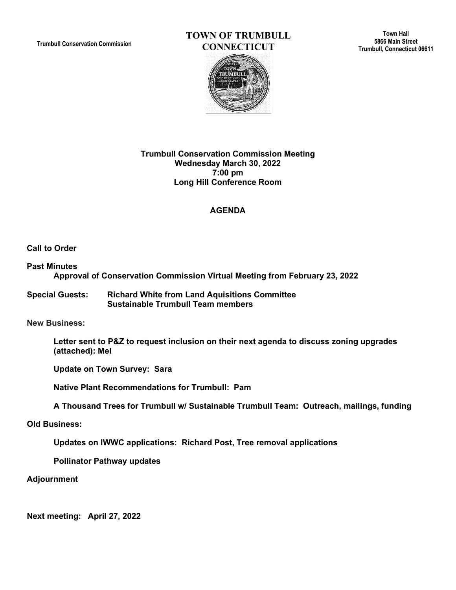**Trumbull Conservation Commission**

# **TOWN OF TRUMBULL CONNECTICUT**

**Town Hall 5866 Main Street Trumbull, Connecticut 06611**



#### **Trumbull Conservation Commission Meeting Wednesday March 30, 2022 7:00 pm Long Hill Conference Room**

## **AGENDA**

**Call to Order**

## **Past Minutes Approval of Conservation Commission Virtual Meeting from February 23, 2022**

**Special Guests: Richard White from Land Aquisitions Committee Sustainable Trumbull Team members**

**New Business:** 

**Letter sent to P&Z to request inclusion on their next agenda to discuss zoning upgrades (attached): Mel**

**Update on Town Survey: Sara**

**Native Plant Recommendations for Trumbull: Pam**

**A Thousand Trees for Trumbull w/ Sustainable Trumbull Team: Outreach, mailings, funding**

**Old Business:**

**Updates on IWWC applications: Richard Post, Tree removal applications**

**Pollinator Pathway updates**

**Adjournment**

**Next meeting: April 27, 2022**